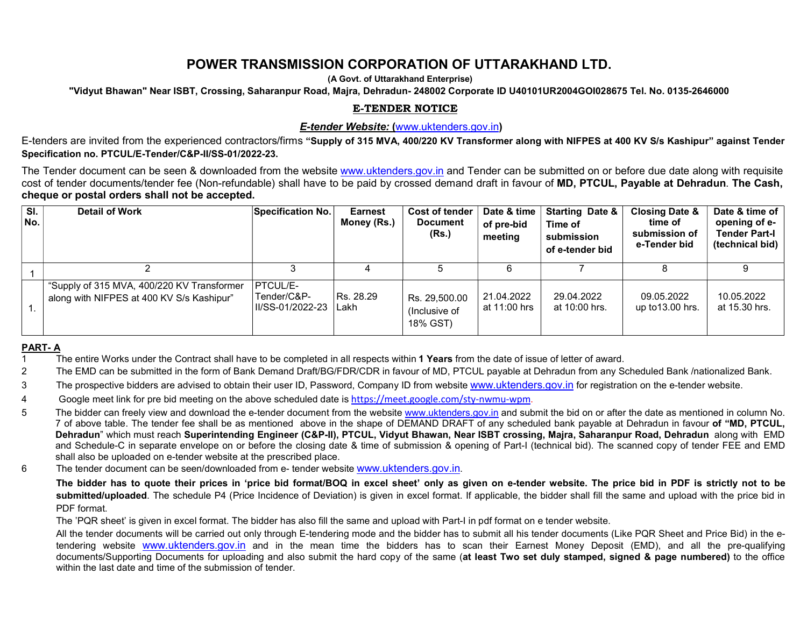# POWER TRANSMISSION CORPORATION OF UTTARAKHAND LTD.

(A Govt. of Uttarakhand Enterprise)

"Vidyut Bhawan" Near ISBT, Crossing, Saharanpur Road, Majra, Dehradun- 248002 Corporate ID U40101UR2004GOI028675 Tel. No. 0135-2646000

## E-TENDER NOTICE

#### E-tender Website: (www.uktenders.gov.in)

E-tenders are invited from the experienced contractors/firms "Supply of 315 MVA, 400/220 KV Transformer along with NIFPES at 400 KV S/s Kashipur" against Tender Specification no. PTCUL/E-Tender/C&P-II/SS-01/2022-23.

 The Tender document can be seen & downloaded from the website www.uktenders.gov.in and Tender can be submitted on or before due date along with requisite cost of tender documents/tender fee (Non-refundable) shall have to be paid by crossed demand draft in favour of MD, PTCUL, Payable at Dehradun. The Cash, cheque or postal orders shall not be accepted.

| SI.<br>No. | <b>Detail of Work</b>                                                                   | Specification No.                                  | <b>Earnest</b><br>Money (Rs.) | <b>Cost of tender</b><br><b>Document</b><br>(Rs.) | Date & time<br>of pre-bid<br>meeting | <b>Starting Date &amp;</b><br>Time of<br>submission<br>of e-tender bid | <b>Closing Date &amp;</b><br>time of<br>submission of<br>e-Tender bid | Date & time of<br>opening of e-<br>Tender Part-I<br>(technical bid) |
|------------|-----------------------------------------------------------------------------------------|----------------------------------------------------|-------------------------------|---------------------------------------------------|--------------------------------------|------------------------------------------------------------------------|-----------------------------------------------------------------------|---------------------------------------------------------------------|
|            |                                                                                         |                                                    |                               |                                                   |                                      |                                                                        |                                                                       |                                                                     |
|            | "Supply of 315 MVA, 400/220 KV Transformer<br>along with NIFPES at 400 KV S/s Kashipur" | <b>PTCUL/E-</b><br>Tender/C&P-<br>II/SS-01/2022-23 | Rs. 28.29<br>I Lakh           | Rs. 29,500.00<br>(Inclusive of<br>18% GST)        | 21.04.2022<br>at 11:00 hrs           | 29.04.2022<br>at 10:00 hrs.                                            | 09.05.2022<br>up to $13.00$ hrs.                                      | 10.05.2022<br>at 15.30 hrs.                                         |

#### PART- A

- 1 The entire Works under the Contract shall have to be completed in all respects within **1 Years** from the date of issue of letter of award.
- 2 The EMD can be submitted in the form of Bank Demand Draft/BG/FDR/CDR in favour of MD, PTCUL payable at Dehradun from any Scheduled Bank /nationalized Bank.
- 3 The prospective bidders are advised to obtain their user ID, Password, Company ID from website www.uktenders.gov.in for registration on the e-tender website.
- 4 Google meet link for pre bid meeting on the above scheduled date is https://meet.google.com/sty-nwmu-wpm.
- 5 The bidder can freely view and download the e-tender document from the website www.uktenders.gov.in and submit the bid on or after the date as mentioned in column No. 7 of above table. The tender fee shall be as mentioned above in the shape of DEMAND DRAFT of any scheduled bank payable at Dehradun in favour of "MD, PTCUL, Dehradun" which must reach Superintending Engineer (C&P-II), PTCUL, Vidyut Bhawan, Near ISBT crossing, Majra, Saharanpur Road, Dehradun along with EMD and Schedule-C in separate envelope on or before the closing date & time of submission & opening of Part-I (technical bid). The scanned copy of tender FEE and EMD shall also be uploaded on e-tender website at the prescribed place.
- 6 The tender document can be seen/downloaded from e- tender website www.uktenders.gov.in.

The bidder has to quote their prices in 'price bid format/BOQ in excel sheet' only as given on e-tender website. The price bid in PDF is strictly not to be submitted/uploaded. The schedule P4 (Price Incidence of Deviation) is given in excel format. If applicable, the bidder shall fill the same and upload with the price bid in PDF format.

The 'PQR sheet' is given in excel format. The bidder has also fill the same and upload with Part-I in pdf format on e tender website.

All the tender documents will be carried out only through E-tendering mode and the bidder has to submit all his tender documents (Like PQR Sheet and Price Bid) in the etendering website www.uktenders.gov.in and in the mean time the bidders has to scan their Earnest Money Deposit (EMD), and all the pre-qualifying documents/Supporting Documents for uploading and also submit the hard copy of the same (at least Two set duly stamped, signed & page numbered) to the office within the last date and time of the submission of tender.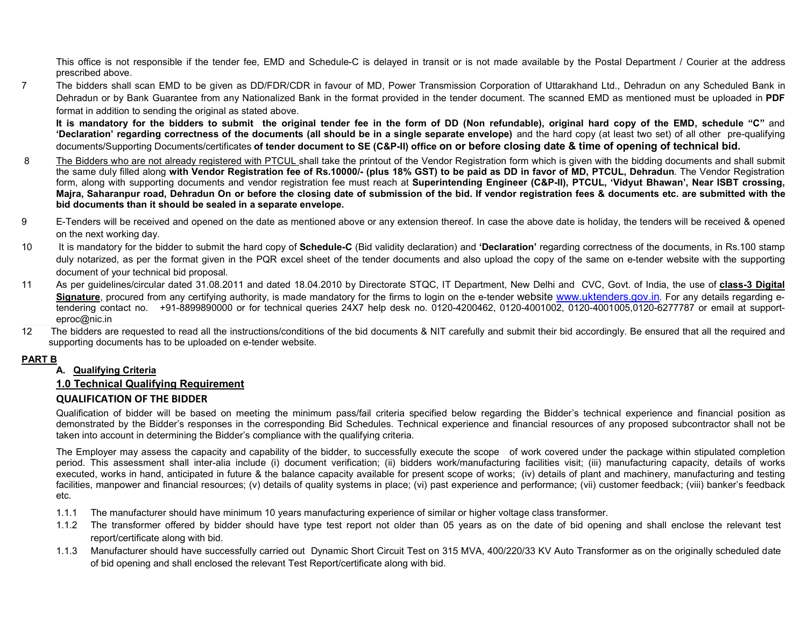This office is not responsible if the tender fee, EMD and Schedule-C is delayed in transit or is not made available by the Postal Department / Courier at the address prescribed above.

7 The bidders shall scan EMD to be given as DD/FDR/CDR in favour of MD, Power Transmission Corporation of Uttarakhand Ltd., Dehradun on any Scheduled Bank in Dehradun or by Bank Guarantee from any Nationalized Bank in the format provided in the tender document. The scanned EMD as mentioned must be uploaded in PDF format in addition to sending the original as stated above.

It is mandatory for the bidders to submit the original tender fee in the form of DD (Non refundable), original hard copy of the EMD, schedule "C" and 'Declaration' regarding correctness of the documents (all should be in a single separate envelope) and the hard copy (at least two set) of all other pre-qualifying documents/Supporting Documents/certificates of tender document to SE (C&P-II) office on or before closing date & time of opening of technical bid.

- 8 The Bidders who are not already registered with PTCUL shall take the printout of the Vendor Registration form which is given with the bidding documents and shall submit the same duly filled along with Vendor Registration fee of Rs.10000/- (plus 18% GST) to be paid as DD in favor of MD, PTCUL, Dehradun. The Vendor Registration form, along with supporting documents and vendor registration fee must reach at Superintending Engineer (C&P-II), PTCUL, 'Vidyut Bhawan', Near ISBT crossing, Majra, Saharanpur road, Dehradun On or before the closing date of submission of the bid. If vendor registration fees & documents etc. are submitted with the bid documents than it should be sealed in a separate envelope.
- 9 E-Tenders will be received and opened on the date as mentioned above or any extension thereof. In case the above date is holiday, the tenders will be received & opened on the next working day.
- 10 It is mandatory for the bidder to submit the hard copy of Schedule-C (Bid validity declaration) and 'Declaration' regarding correctness of the documents, in Rs.100 stamp duly notarized, as per the format given in the PQR excel sheet of the tender documents and also upload the copy of the same on e-tender website with the supporting document of your technical bid proposal.
- 11 As per guidelines/circular dated 31.08.2011 and dated 18.04.2010 by Directorate STQC, IT Department, New Delhi and CVC, Govt. of India, the use of class-3 Digital Signature, procured from any certifying authority, is made mandatory for the firms to login on the e-tender website www.uktenders.gov.in. For any details regarding etendering contact no. +91-8899890000 or for technical queries 24X7 help desk no. 0120-4200462, 0120-4001002, 0120-4001005,0120-6277787 or email at supporteproc@nic.in
- 12 The bidders are requested to read all the instructions/conditions of the bid documents & NIT carefully and submit their bid accordingly. Be ensured that all the required and supporting documents has to be uploaded on e-tender website.

### PART B

### A. Qualifying Criteria

### 1.0 Technical Qualifying Requirement

### QUALIFICATION OF THE BIDDER

Qualification of bidder will be based on meeting the minimum pass/fail criteria specified below regarding the Bidder's technical experience and financial position as demonstrated by the Bidder's responses in the corresponding Bid Schedules. Technical experience and financial resources of any proposed subcontractor shall not be taken into account in determining the Bidder's compliance with the qualifying criteria.

The Employer may assess the capacity and capability of the bidder, to successfully execute the scope of work covered under the package within stipulated completion period. This assessment shall inter-alia include (i) document verification; (ii) bidders work/manufacturing facilities visit; (iii) manufacturing capacity, details of works executed, works in hand, anticipated in future & the balance capacity available for present scope of works; (iv) details of plant and machinery, manufacturing and testing facilities, manpower and financial resources; (v) details of quality systems in place; (vi) past experience and performance; (vii) customer feedback; (viii) banker's feedback etc.

- 1.1.1 The manufacturer should have minimum 10 years manufacturing experience of similar or higher voltage class transformer.
- 1.1.2 The transformer offered by bidder should have type test report not older than 05 years as on the date of bid opening and shall enclose the relevant test report/certificate along with bid.
- 1.1.3 Manufacturer should have successfully carried out Dynamic Short Circuit Test on 315 MVA, 400/220/33 KV Auto Transformer as on the originally scheduled date of bid opening and shall enclosed the relevant Test Report/certificate along with bid.